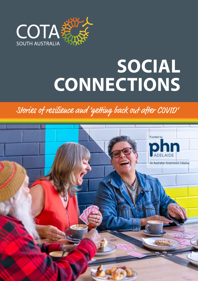

# **SOCIAL CONNECTIONS**

## Stories of resilience and 'getting back out after COVID'

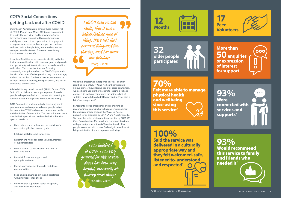## **COTA Social Connections getting back out after COVID**

Older South Australians are among those most at risk of COVID-19, and from March 2020 were encouraged to restrict their activities and to stay home. Social interactions were constrained by regular outings, social groups, and other opportunities to engage with a purpose were moved online, stopped, or continued with restrictions. People living alone and not online were particularly affected. For some, pre-existing isolation was compounded.

It can be difficult for some people to identify activities that are enjoyable, align with personal goals and provide the opportunity to interact with and have relationships with others. This is not just the case following community disruption such as the COVID-19 pandemic, but also after other life changes that may come with age, such as the death of family or a partner, retirement, or changes in health, mobility, transport access, or a loss of confidence or motivation.

Adelaide Primary Health Network (APHN) funded COTA SA in 2021 to deliver a peer support project for older people to help them find and connect with meaningful social activities and supports to improve wellbeing.

COTA SA recruited and supported a team of dynamic peer volunteers who supported older people to 'get back out after COVID' and connect or reconnect with social activities of their choice. The peer volunteers were matched with participants and worked with them for up to six weeks to:

- Listen, discuss and understand the participant's needs, strengths, barriers and goals
- Establish goals for social connection
- Research and find options for activities, interests or support services
- Look at barriers to participation and how to overcome them
- Provide information, support and appropriate referrals
- Provide encouragement to build confidence and motivation
- Lend a helping hand to join in and get started with activities of their choice
- Provide digital support to search for options, and to connect with others.

While this project was in response to social isolation resulting from COVID-19 and we heard participant's unique stories, thoughts and goals for social connection, we also heard about other barriers to leading a full and engaged life within a community including; a lack of suitable transport, low digital literacy and just 'needing a bit of encouragement'.

Participant's stories of resilience and connecting or reconnecting, along with hints, tips and encouragement for others are shared through the *Voices On Ageing* podcast series produced by COTA SA and Narrative Media. We hope this series of six episodes presented by COTA SA's Chief Executive, Jane Mussared, and featuring interviews with podcast producer Amelia Veale inspires all older people to connect with others, find and join in with what brings satisfaction, joy and improved wellbeing.

# **12 Months**



More than 000 **50 enquiries or expression of interest**   $\Box$ **for support**

**93%** Would recommend this service to family and friends who needed it\*

**93% Were** connected with services and supports\*



**70%** Felt more able to manage physical health and wellbeing since using this service^



**100%** 

**Said the service was delivered in a culturally appropriate way and they felt welcomed, safe, listened to, understood and respected\***

**32 older people participated**



I didn't even realise really that it was a helper/helpee type of thing, there was that personal thing and the sharing, and Lai Woon was fabulous. (Marg, Client)

I am indebted to COTA. I am very grateful for this service. Anna has been very helpful, especially at finding local things. (Charles, Client)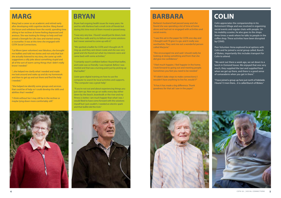Marg had a career as an academic and retired early after developing mild cognitive decline. Marg feared the future and withdrew from the world, spending time sitting in her recliner at home feeling depressed and anxious. She was looking for things to help and had joined a Strength for Life class and started seeing a counsellor. It was at this time she engaged with COTA Social Connections.

"Lai Woon (peer volunteer) was fabulous, she brought me leaflets and told me stories and not only that but she actually listened to my story, she came up with suggestions a silly joke about something stupid and all of the sort of warm caring things that I didn't really know I needed."

"...she helped me clarify what I needed and made me look around and wake up and do my homework and then to get up and out there and find the help I needed. "

"She helped me identify some groups and services that could be of help so I could develop the skills and abilities that I needed."

"I think without her I may still be in the recliner or maybe lying down more comfortably still."

Bryan had ongoing health issues for many years. He and his wife Marlene had a small circle of friends but during this time most of them moved or passed away.

"I was very very low. I found I would just lie down, look at the four walls and try to fathom out some solutions but I never seemed to come up with it."

"We spotted a leaflet for COTA and I thought oh I'll ring up, and they sent down Lizzie and she was very good and she found out what my interests were and came back with some activities."

"I certainly wasn't confident before I found that leaflet, and Lizzie was so friendly. I was inspired. Before I was morbid and that was a turning point just by picking up that leaflet."

Lizzie gave digital training on how to use the computer to search for local activities and supports. "The computer was a great help."

"If you're not out and about experiencing things you just clam up. Now we go on walks every day either down by the beach, boardwalk or the river and my fitness is better. I am much happier than what I was. I would liked to have come forward with the solutions myself but I just couldn't, I needed an electric spark and that leaflet did the trick."





# **FOREWORD BRYAN**<br> **EXAMPLE ARBARA COLIN**

Barbara's husband had passed away and she found she was spending a lot of time at home alone and had not re-engaged with activities and social events.

"I saw this ad in the paper for COTA one day and I thought well I'll give it a go, and it really was worthwhile. They sent me out a wonderful person called Marjorie."

"She encouraged me and said I should really be looking at doing something and from that she did give me confidence."

"I feel much happier, I feel happier in the home. I look forward to going out and meeting people. Sometimes you feel you need to be needed."

"If I didn't (take steps to make connections) I wouldn't have anything to live for, would I?"

"It has it has made a big difference. Thank goodness for that ad I saw in the paper."



Colin appreciates the companionship in his Retirement Village and was involved in organising social events and regular chats with people. On his mobility scooter, he also goes to the shops three times a week where he talks to people in the coffee shop. These activities have been disrupted by COVID.

Peer Volunteer Anna explored local options with Colin and he joined a social group called, Bunch of Blokes, importantly this includes transport for Colin to attend.

"We went out there a week ago, we sat down to a lunch in Osmond house. We enjoyed that one very much, they supplied the taxi and supplied food when we get up there, and there is a good sense of camaraderie when you get in there."

"I have joined a group up here just north of Adelaide. I found 13 men there... it is called Bunch of Blokes."

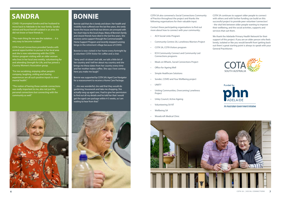Bonnie said that she is lonely and down. Her health and mobility have suffered over the last few years, she rarely leaves the house and finds taxi drivers are annoyed with her short trips to the local shops. Many of Bonnie's family and closest friends have died in the last few years. She receives some support through the Commonwealth Home Support Program and recently stopped running bingo in the retirement village because of COVID.

"…she was wonderful, she said that they would do gardening, housework and take me shopping. She actually rang up aged care, I had to give her permission to find out all my details and he told her that I would get the aged care package within 4-5 weeks, so I am waiting to hear from that."



Bonnie is now visited in her home every fortnight by a volunteer COTA Visitor for coffee and a chat.

"Jemy and I sit down and talk, we talk a little bit of her country and I tell her about my country and she brings me these dates from her country every time and her mother makes coffee. She says I love coming here you make me laugh."

Bonnie was supported by COTA SA's Aged Care Navigator for a reassessment to receive a Home Care Package.

### **FOREX BONNIE SANDRA**

COTA SA also convened a Social Connections Community of Practice throughout the project and thanks the following organisations for their valuable input.

Contact these participating organisations to find out more about how to connect with your community;

- ACH Social Links Program
- Community Centres SA, Loneliness Warriors Project
- COTA SA, COTA Visitors program
- ECH Community Connect and Community Led Connections programs
- Meals on Wheels, Social Connections Project
- Office for Ageing Well
- Simple Healthcare Solutions
- Sonder, COVID and Your Wellbeing project
- UNIITY
- Uniting Communities, Overcoming Loneliness Project
- Unley Council, Active Ageing
- Volunteering SA NT
- Wellbeing SA
- Woodcroft Medical Clinic



COTA SA continues to support older people to connect with others and with further funding can build on this successful project to provide peer volunteer 'connectors' - the vital link between older people wanting to improve their wellbeing, and the social activities, supports and services that suit them.

We thank the Adelaide Primary Health Network for their support of this project. If you are an older person who feels lonely, isolated or like you would benefit from 'getting back out there' a great starting point is always to speak with your General Practitioner.





An Australian Government Initiative

COVID-19 prompted Sandra and her husband to move back to Adelaide to be near family. Sandra retired and found herself isolated in an area she did not know or have friends in.

"The main thing for me was the isolation… it is very easy to become isolated."

COTA Social Connections provided Sandra with several opportunities to pursue in her local area and she is now volunteering with the COTA Visitors program visiting with an older woman who lives in her local area weekly, volunteering for and attending Strength for Life, and has joined a Country Women's Association group.

"For me socializing, enjoying other people's company, laughing, smiling and sharing experiences are all such positive inputs to ones' mental health."

"The notion of having those outside connections was really important to me, also not just the personal connections but connecting with the community as well."



## **BONNIE**